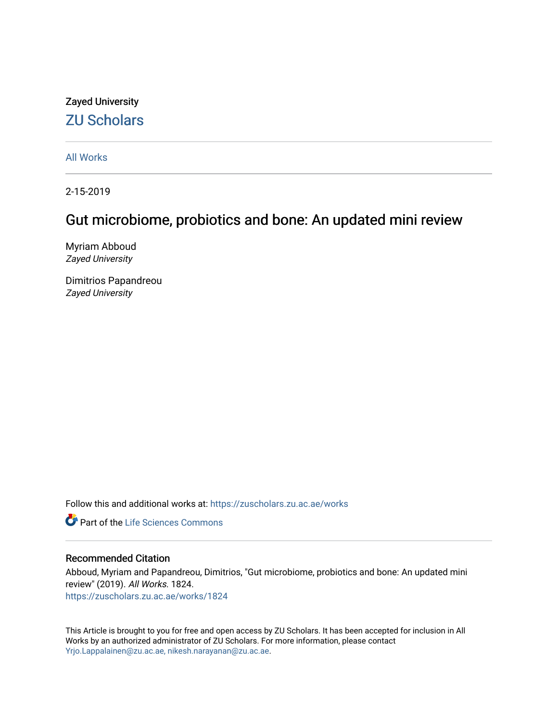## Zayed University [ZU Scholars](https://zuscholars.zu.ac.ae/)

[All Works](https://zuscholars.zu.ac.ae/works)

2-15-2019

# Gut microbiome, probiotics and bone: An updated mini review

Myriam Abboud Zayed University

Dimitrios Papandreou Zayed University

Follow this and additional works at: [https://zuscholars.zu.ac.ae/works](https://zuscholars.zu.ac.ae/works?utm_source=zuscholars.zu.ac.ae%2Fworks%2F1824&utm_medium=PDF&utm_campaign=PDFCoverPages)

Part of the [Life Sciences Commons](http://network.bepress.com/hgg/discipline/1016?utm_source=zuscholars.zu.ac.ae%2Fworks%2F1824&utm_medium=PDF&utm_campaign=PDFCoverPages) 

#### Recommended Citation

Abboud, Myriam and Papandreou, Dimitrios, "Gut microbiome, probiotics and bone: An updated mini review" (2019). All Works. 1824. [https://zuscholars.zu.ac.ae/works/1824](https://zuscholars.zu.ac.ae/works/1824?utm_source=zuscholars.zu.ac.ae%2Fworks%2F1824&utm_medium=PDF&utm_campaign=PDFCoverPages)

This Article is brought to you for free and open access by ZU Scholars. It has been accepted for inclusion in All Works by an authorized administrator of ZU Scholars. For more information, please contact [Yrjo.Lappalainen@zu.ac.ae, nikesh.narayanan@zu.ac.ae](mailto:Yrjo.Lappalainen@zu.ac.ae,%20nikesh.narayanan@zu.ac.ae).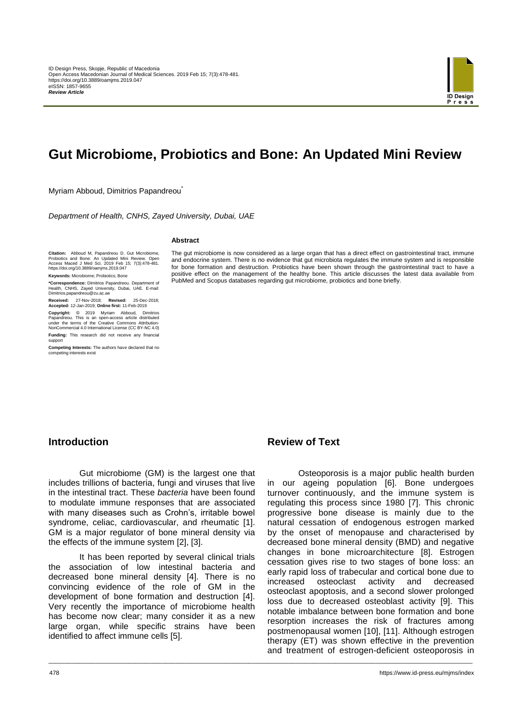

# **Gut Microbiome, Probiotics and Bone: An Updated Mini Review**

Myriam Abboud, Dimitrios Papandreou<sup>\*</sup>

*Department of Health, CNHS, Zayed University, Dubai, UAE*

#### **Abstract**

**Citation:** Abboud M, Papandreou D. Gut Microbiome, Probiotics and Bone: An Updated Mini Review. Open Access Maced J Med Sci. 2019 Feb 15; 7(3):478-481. https://doi.org/10.3889/oamjms.2019.047

**Keywords:** Microbiome; Probiotics; Bone

**\*Correspondence:** Dimitrios Papandreou. Department of Health, CNHS, Zayed University, Dubai, UAE. E-mail: Dimitrios.papandreou@zu.ac.ae

**Received:** 27-Nov-2018; **Revised:** 25-Dec-2018; **Accepted:** 12-Jan-2019; **Online first:** 11-Feb-2019

**Copyright:** © 2019 Myriam Abboud, Dimitrios Papandreou. This is an open-access article distributed under the terms of the Creative Commons Attribution-NonCommercial 4.0 International License (CC BY-NC 4.0)

**Funding:** This research did not receive any financial support

**Competing Interests:** The authors have declared that no competing interests exist

The gut microbiome is now considered as a large organ that has a direct effect on gastrointestinal tract, immune and endocrine system. There is no evidence that gut microbiota regulates the immune system and is responsible for bone formation and destruction. Probiotics have been shown through the gastrointestinal tract to have a positive effect on the management of the healthy bone. This article discusses the latest data available from PubMed and Scopus databases regarding gut microbiome, probiotics and bone briefly.

#### **Introduction**

Gut microbiome (GM) is the largest one that includes trillions of bacteria, fungi and viruses that live in the intestinal tract. These *bacteria* have been found to modulate immune responses that are associated with many diseases such as Crohn's, irritable bowel syndrome, celiac, cardiovascular, and rheumatic [1]. GM is a major regulator of bone mineral density via the effects of the immune system [2], [3].

It has been reported by several clinical trials the association of low intestinal bacteria and decreased bone mineral density [4]. There is no convincing evidence of the role of GM in the development of bone formation and destruction [4]. Very recently the importance of microbiome health has become now clear; many consider it as a new large organ, while specific strains have been identified to affect immune cells [5].

#### **Review of Text**

\_\_\_\_\_\_\_\_\_\_\_\_\_\_\_\_\_\_\_\_\_\_\_\_\_\_\_\_\_\_\_\_\_\_\_\_\_\_\_\_\_\_\_\_\_\_\_\_\_\_\_\_\_\_\_\_\_\_\_\_\_\_\_\_\_\_\_\_\_\_\_\_\_\_\_\_\_\_\_\_\_\_\_\_\_\_\_\_\_\_\_\_\_\_\_\_\_\_\_\_\_\_\_\_\_\_\_\_\_\_\_\_\_\_\_\_\_\_\_\_\_\_\_\_\_\_\_

Osteoporosis is a major public health burden in our ageing population [6]. Bone undergoes turnover continuously, and the immune system is regulating this process since 1980 [7]. This chronic progressive bone disease is mainly due to the natural cessation of endogenous estrogen marked by the onset of menopause and characterised by decreased bone mineral density (BMD) and negative changes in bone microarchitecture [8]. Estrogen cessation gives rise to two stages of bone loss: an early rapid loss of trabecular and cortical bone due to increased osteoclast activity and decreased osteoclast apoptosis, and a second slower prolonged loss due to decreased osteoblast activity [9]. This notable imbalance between bone formation and bone resorption increases the risk of fractures among postmenopausal women [10], [11]. Although estrogen therapy (ET) was shown effective in the prevention and treatment of estrogen-deficient osteoporosis in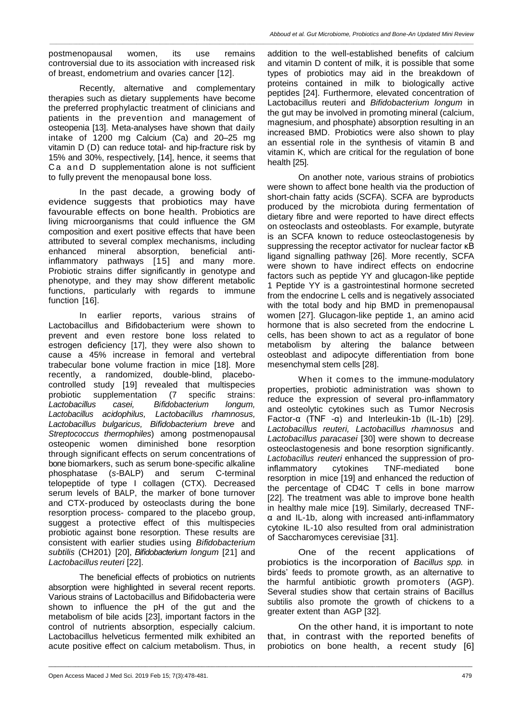*\_\_\_\_\_\_\_\_\_\_\_\_\_\_\_\_\_\_\_\_\_\_\_\_\_\_\_\_\_\_\_\_\_\_\_\_\_\_\_\_\_\_\_\_\_\_\_\_\_\_\_\_\_\_\_\_\_\_\_\_\_\_\_\_\_\_\_\_\_\_\_\_\_\_\_\_\_\_\_\_\_\_\_\_\_\_\_\_\_\_\_\_\_\_\_\_\_\_\_\_\_\_\_\_\_\_\_\_\_\_\_\_\_\_\_\_\_\_\_\_\_\_\_\_\_\_\_*

postmenopausal women, its use remains controversial due to its association with increased risk of breast, endometrium and ovaries cancer [12].

Recently, alternative and complementary therapies such as dietary supplements have become the preferred prophylactic treatment of clinicians and patients in the prevention and management of osteopenia [13]. Meta-analyses have shown that daily intake of 1200 mg Calcium (Ca) and 20–25 mg vitamin D (D) can reduce total- and hip-fracture risk by 15% and 30%, respectively, [14], hence, it seems that Ca and D supplementation alone is not sufficient to fully prevent the menopausal bone loss.

In the past decade, a growing body of evidence suggests that probiotics may have favourable effects on bone health. Probiotics are living microorganisms that could influence the GM composition and exert positive effects that have been attributed to several complex mechanisms, including enhanced mineral absorption, beneficial antiinflammatory pathways [15] and many more. Probiotic strains differ significantly in genotype and phenotype, and they may show different metabolic functions, particularly with regards to immune function [16].

In earlier reports, various strains of Lactobacillus and Bifidobacterium were shown to prevent and even restore bone loss related to estrogen deficiency [17], they were also shown to cause a 45% increase in femoral and vertebral trabecular bone volume fraction in mice [18]. More recently, a randomized, double-blind, placebocontrolled study [19] revealed that multispecies probiotic supplementation (7 specific strains: *Lactobacillus casei, Bifidobacterium longum, Lactobacillus acidophilus, Lactobacillus rhamnosus, Lactobacillus bulgaricus, Bifidobacterium breve* and *Streptococcus thermophiles*) among postmenopausal osteopenic women diminished bone resorption through significant effects on serum concentrations of bone biomarkers, such as serum bone-specific alkaline phosphatase (*s-*BALP) and serum C-terminal telopeptide of type I collagen (CTX)*.* Decreased serum levels of BALP, the marker of bone turnover and CTX-produced by osteoclasts during the bone resorption process- compared to the placebo group, suggest a protective effect of this multispecies probiotic against bone resorption. These results are consistent with earlier studies using *Bifidobacterium subtilis* (CH201) [20], *Bifidobacterium longum* [21] and *Lactobacillus reuteri* [22].

The beneficial effects of probiotics on nutrients absorption were highlighted in several recent reports. Various strains of Lactobacillus and Bifidobacteria were shown to influence the pH of the gut and the metabolism of bile acids [23], important factors in the control of nutrients absorption, especially calcium. Lactobacillus helveticus fermented milk exhibited an acute positive effect on calcium metabolism. Thus, in

\_\_\_\_\_\_\_\_\_\_\_\_\_\_\_\_\_\_\_\_\_\_\_\_\_\_\_\_\_\_\_\_\_\_\_\_\_\_\_\_\_\_\_\_\_\_\_\_\_\_\_\_\_\_\_\_\_\_\_\_\_\_\_\_\_\_\_\_\_\_\_\_\_\_\_\_\_\_\_\_\_\_\_\_\_\_\_\_\_\_\_\_\_\_\_\_\_\_\_\_\_\_\_\_\_\_\_\_\_\_\_\_\_\_\_\_\_\_\_\_\_\_\_\_\_\_\_

addition to the well-established benefits of calcium and vitamin D content of milk, it is possible that some types of probiotics may aid in the breakdown of proteins contained in milk to biologically active peptides [24]. Furthermore, elevated concentration of Lactobacillus reuteri and *Bifidobacterium longum* in the gut may be involved in promoting mineral (calcium, magnesium, and phosphate) absorption resulting in an increased BMD. Probiotics were also shown to play an essential role in the synthesis of vitamin B and vitamin K, which are critical for the regulation of bone health [25].

On another note, various strains of probiotics were shown to affect bone health via the production of short-chain fatty acids (SCFA). SCFA are byproducts produced by the microbiota during fermentation of dietary fibre and were reported to have direct effects on osteoclasts and osteoblasts. For example, butyrate is an SCFA known to reduce osteoclastogenesis by suppressing the receptor activator for nuclear factor κB ligand signalling pathway [26]. More recently, SCFA were shown to have indirect effects on endocrine factors such as peptide YY and glucagon-like peptide 1 Peptide YY is a gastrointestinal hormone secreted from the endocrine L cells and is negatively associated with the total body and hip BMD in premenopausal women [27]. Glucagon-like peptide 1, an amino acid hormone that is also secreted from the endocrine L cells, has been shown to act as a regulator of bone metabolism by altering the balance between osteoblast and adipocyte differentiation from bone mesenchymal stem cells [28].

When it comes to the immune-modulatory properties, probiotic administration was shown to reduce the expression of several pro-inflammatory and osteolytic cytokines such as Tumor Necrosis Factor-α (TNF -α) and Interleukin-1b (IL-1b) [29]. *Lactobacillus reuteri, Lactobacillus rhamnosus* and *Lactobacillus paracasei* [30] were shown to decrease osteoclastogenesis and bone resorption significantly. *Lactobacillus reuteri* enhanced the suppression of proinflammatory cytokines TNF-mediated bone resorption in mice [19] and enhanced the reduction of the percentage of CD4C T cells in bone marrow [22]. The treatment was able to improve bone health in healthy male mice [19]. Similarly, decreased TNFα and IL-1b, along with increased anti-inflammatory cytokine IL-10 also resulted from oral administration of Saccharomyces cerevisiae [31].

One of the recent applications of probiotics is the incorporation of *Bacillus spp.* in birds' feeds to promote growth, as an alternative to the harmful antibiotic growth promoters (AGP). Several studies show that certain strains of Bacillus subtilis also promote the growth of chickens to a greater extent than AGP [32].

On the other hand, it is important to note that, in contrast with the reported benefits of probiotics on bone health, a recent study [6]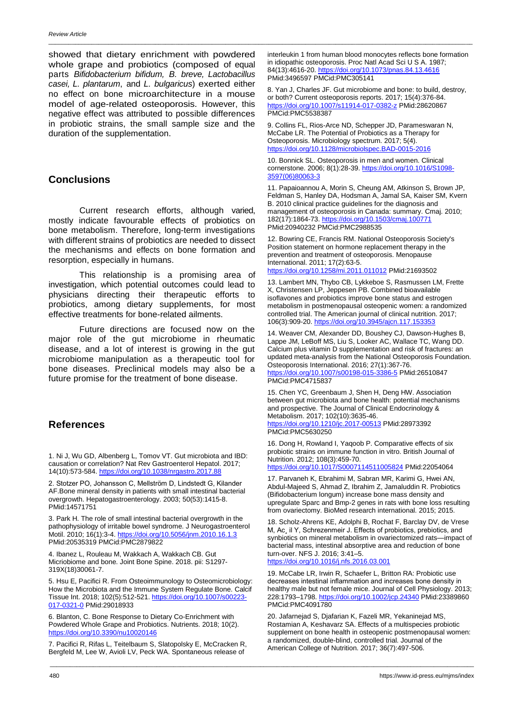showed that dietary enrichment with powdered whole grape and probiotics (composed of equal parts *Bifidobacterium bifidum, B. breve, Lactobacillus casei, L. plantarum*, and *L. bulgaricus*) exerted either no effect on bone microarchitecture in a mouse model of age-related osteoporosis. However, this negative effect was attributed to possible differences in probiotic strains, the small sample size and the duration of the supplementation.

### **Conclusions**

Current research efforts, although varied, mostly indicate favourable effects of probiotics on bone metabolism. Therefore, long-term investigations with different strains of probiotics are needed to dissect the mechanisms and effects on bone formation and resorption, especially in humans.

This relationship is a promising area of investigation, which potential outcomes could lead to physicians directing their therapeutic efforts to probiotics, among dietary supplements, for most effective treatments for bone-related ailments.

Future directions are focused now on the major role of the gut microbiome in rheumatic disease, and a lot of interest is growing in the gut microbiome manipulation as a therapeutic tool for bone diseases. Preclinical models may also be a future promise for the treatment of bone disease.

## **References**

1. Ni J, Wu GD, Albenberg L, Tomov VT. Gut microbiota and IBD: causation or correlation? Nat Rev Gastroenterol Hepatol. 2017; 14(10):573-584. <https://doi.org/10.1038/nrgastro.2017.88>

2. Stotzer PO, Johansson C, Mellström D, Lindstedt G, Kilander AF.Bone mineral density in patients with small intestinal bacterial overgrowth. Hepatogastroenterology. 2003; 50(53):1415-8. PMid:14571751

3. Park H. The role of small intestinal bacterial overgrowth in the pathophysiology of irritable bowel syndrome. J Neurogastroenterol Motil. 2010; 16(1):3-4. <https://doi.org/10.5056/jnm.2010.16.1.3> PMid:20535319 PMCid:PMC2879822

4. Ibanez L, Rouleau M, Wakkach A, Wakkach CB. Gut Micriobiome and bone. Joint Bone Spine. 2018. pii: S1297- 319X(18)30061-7.

5. Hsu E, Pacifici R. From Osteoimmunology to Osteomicrobiology: How the Microbiota and the Immune System Regulate Bone. Calcif Tissue Int. 2018; 102(5):512-521. [https://doi.org/10.1007/s00223-](https://doi.org/10.1007/s00223-017-0321-0) [017-0321-0](https://doi.org/10.1007/s00223-017-0321-0) PMid:29018933

6. Blanton, C. Bone Response to Dietary Co-Enrichment with Powdered Whole Grape and Probiotics. Nutrients. 2018; 10(2). <https://doi.org/10.3390/nu10020146>

7. Pacifici R, Rifas L, Teitelbaum S, Slatopolsky E, McCracken R, Bergfeld M, Lee W, Avioli LV, Peck WA. Spontaneous release of

interleukin 1 from human blood monocytes reflects bone formation in idiopathic osteoporosis. Proc Natl Acad Sci U S A. 1987; 84(13):4616-20. <https://doi.org/10.1073/pnas.84.13.4616> PMid:3496597 PMCid:PMC305141

\_\_\_\_\_\_\_\_\_\_\_\_\_\_\_\_\_\_\_\_\_\_\_\_\_\_\_\_\_\_\_\_\_\_\_\_\_\_\_\_\_\_\_\_\_\_\_\_\_\_\_\_\_\_\_\_\_\_\_\_\_\_\_\_\_\_\_\_\_\_\_\_\_\_\_\_\_\_\_\_\_\_\_\_\_\_\_\_\_\_\_\_\_\_\_\_\_\_\_\_\_\_\_\_\_\_\_\_\_\_\_\_\_\_\_\_\_\_\_\_\_\_\_\_\_\_\_

8. Yan J, Charles JF. Gut microbiome and bone: to build, destroy, or both? Current osteoporosis reports. 2017; 15(4):376-84. <https://doi.org/10.1007/s11914-017-0382-z> PMid:28620867 PMCid:PMC5538387

9. Collins FL, Rios-Arce ND, Schepper JD, Parameswaran N, McCabe LR. The Potential of Probiotics as a Therapy for Osteoporosis. Microbiology spectrum. 2017; 5(4). https://doi.org/10.1128/microbiolspec.BAD-0015-201

10. Bonnick SL. Osteoporosis in men and women. Clinical cornerstone. 2006; 8(1):28-39. [https://doi.org/10.1016/S1098-](https://doi.org/10.1016/S1098-3597(06)80063-3) [3597\(06\)80063-3](https://doi.org/10.1016/S1098-3597(06)80063-3)

11. Papaioannou A, Morin S, Cheung AM, Atkinson S, Brown JP, Feldman S, Hanley DA, Hodsman A, Jamal SA, Kaiser SM, Kvern B. 2010 clinical practice guidelines for the diagnosis and management of osteoporosis in Canada: summary. Cmaj. 2010; 182(17):1864-73. <https://doi.org/10.1503/cmaj.100771> PMid:20940232 PMCid:PMC2988535

12. Bowring CE, Francis RM. National Osteoporosis Society's Position statement on hormone replacement therapy in the prevention and treatment of osteoporosis. Menopause International. 2011; 17(2):63-5.

<https://doi.org/10.1258/mi.2011.011012> PMid:21693502

13. Lambert MN, Thybo CB, Lykkeboe S, Rasmussen LM, Frette X, Christensen LP, Jeppesen PB. Combined bioavailable isoflavones and probiotics improve bone status and estrogen metabolism in postmenopausal osteopenic women: a randomized controlled trial. The American journal of clinical nutrition. 2017; 106(3):909-20. <https://doi.org/10.3945/ajcn.117.153353>

14. Weaver CM, Alexander DD, Boushey CJ, Dawson-Hughes B, Lappe JM, LeBoff MS, Liu S, Looker AC, Wallace TC, Wang DD. Calcium plus vitamin D supplementation and risk of fractures: an updated meta-analysis from the National Osteoporosis Foundation. Osteoporosis International. 2016; 27(1):367-76. <https://doi.org/10.1007/s00198-015-3386-5> PMid:26510847 PMCid:PMC4715837

15. Chen YC, Greenbaum J, Shen H, Deng HW. Association between gut microbiota and bone health: potential mechanisms and prospective. The Journal of Clinical Endocrinology & Metabolism. 2017; 102(10):3635-46. <https://doi.org/10.1210/jc.2017-00513> PMid:28973392

PMCid:PMC5630250

\_\_\_\_\_\_\_\_\_\_\_\_\_\_\_\_\_\_\_\_\_\_\_\_\_\_\_\_\_\_\_\_\_\_\_\_\_\_\_\_\_\_\_\_\_\_\_\_\_\_\_\_\_\_\_\_\_\_\_\_\_\_\_\_\_\_\_\_\_\_\_\_\_\_\_\_\_\_\_\_\_\_\_\_\_\_\_\_\_\_\_\_\_\_\_\_\_\_\_\_\_\_\_\_\_\_\_\_\_\_\_\_\_\_\_\_\_\_\_\_\_\_\_\_\_\_\_

16. Dong H, Rowland I, Yaqoob P. Comparative effects of six probiotic strains on immune function in vitro. British Journal of Nutrition. 2012; 108(3):459-70.

<https://doi.org/10.1017/S0007114511005824> PMid:22054064

17. Parvaneh K, Ebrahimi M, Sabran MR, Karimi G, Hwei AN, Abdul-Majeed S, Ahmad Z, Ibrahim Z, Jamaluddin R. Probiotics (Bifidobacterium longum) increase bone mass density and upregulate Sparc and Bmp-2 genes in rats with bone loss resulting from ovariectomy. BioMed research international. 2015; 2015.

18. Scholz-Ahrens KE, Adolphi B, Rochat F, Barclay DV, de Vrese M, Ac¸ il Y, Schrezenmeir J. Effects of probiotics, prebiotics, and synbiotics on mineral metabolism in ovariectomized rats—impact of bacterial mass, intestinal absorptive area and reduction of bone turn-over. NFS J. 2016; 3:41–5. <https://doi.org/10.1016/j.nfs.2016.03.001>

19. McCabe LR, Irwin R, Schaefer L, Britton RA: Probiotic use decreases intestinal inflammation and increases bone density in healthy male but not female mice. Journal of Cell Physiology. 2013; 228:1793–1798. <https://doi.org/10.1002/jcp.24340> PMid:23389860 PMCid:PMC4091780

20. Jafarnejad S, Djafarian K, Fazeli MR, Yekaninejad MS, Rostamian A, Keshavarz SA. Effects of a multispecies probiotic supplement on bone health in osteopenic postmenopausal women: a randomized, double-blind, controlled trial. Journal of the American College of Nutrition. 2017; 36(7):497-506.